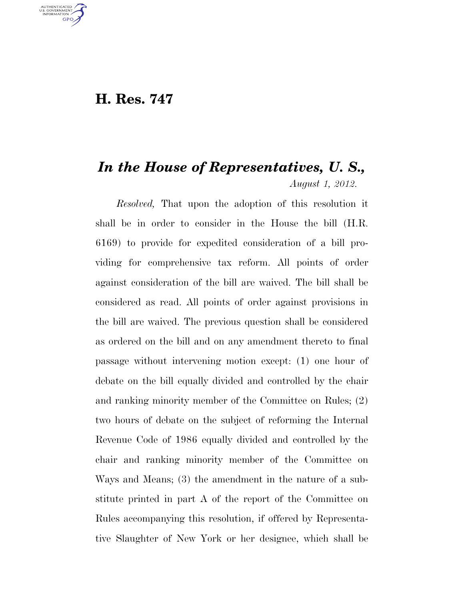## **H. Res. 747**

U.S. GOVERNMENT **GPO** 

## *In the House of Representatives, U. S., August 1, 2012.*

*Resolved,* That upon the adoption of this resolution it shall be in order to consider in the House the bill (H.R. 6169) to provide for expedited consideration of a bill providing for comprehensive tax reform. All points of order against consideration of the bill are waived. The bill shall be considered as read. All points of order against provisions in the bill are waived. The previous question shall be considered as ordered on the bill and on any amendment thereto to final passage without intervening motion except: (1) one hour of debate on the bill equally divided and controlled by the chair and ranking minority member of the Committee on Rules; (2) two hours of debate on the subject of reforming the Internal Revenue Code of 1986 equally divided and controlled by the chair and ranking minority member of the Committee on Ways and Means; (3) the amendment in the nature of a substitute printed in part A of the report of the Committee on Rules accompanying this resolution, if offered by Representative Slaughter of New York or her designee, which shall be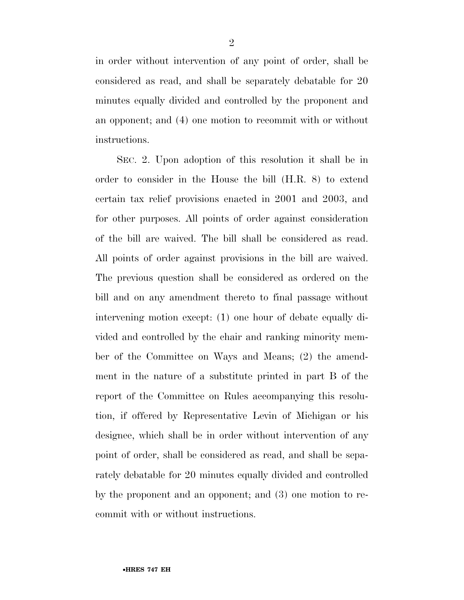in order without intervention of any point of order, shall be considered as read, and shall be separately debatable for 20 minutes equally divided and controlled by the proponent and an opponent; and (4) one motion to recommit with or without instructions.

SEC. 2. Upon adoption of this resolution it shall be in order to consider in the House the bill (H.R. 8) to extend certain tax relief provisions enacted in 2001 and 2003, and for other purposes. All points of order against consideration of the bill are waived. The bill shall be considered as read. All points of order against provisions in the bill are waived. The previous question shall be considered as ordered on the bill and on any amendment thereto to final passage without intervening motion except: (1) one hour of debate equally divided and controlled by the chair and ranking minority member of the Committee on Ways and Means; (2) the amendment in the nature of a substitute printed in part B of the report of the Committee on Rules accompanying this resolution, if offered by Representative Levin of Michigan or his designee, which shall be in order without intervention of any point of order, shall be considered as read, and shall be separately debatable for 20 minutes equally divided and controlled by the proponent and an opponent; and (3) one motion to recommit with or without instructions.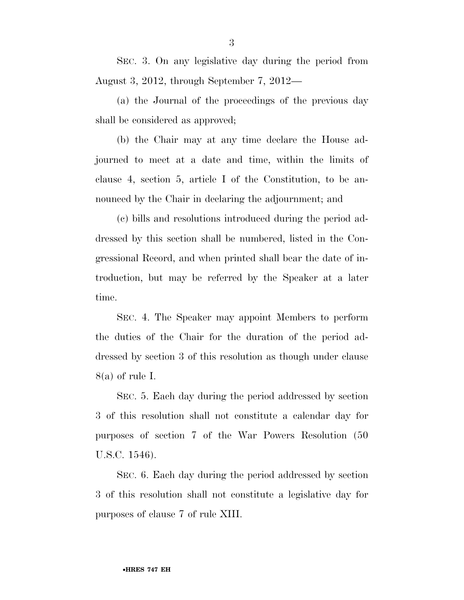SEC. 3. On any legislative day during the period from August 3, 2012, through September 7, 2012—

(a) the Journal of the proceedings of the previous day shall be considered as approved;

(b) the Chair may at any time declare the House adjourned to meet at a date and time, within the limits of clause 4, section 5, article I of the Constitution, to be announced by the Chair in declaring the adjournment; and

(c) bills and resolutions introduced during the period addressed by this section shall be numbered, listed in the Congressional Record, and when printed shall bear the date of introduction, but may be referred by the Speaker at a later time.

SEC. 4. The Speaker may appoint Members to perform the duties of the Chair for the duration of the period addressed by section 3 of this resolution as though under clause 8(a) of rule I.

SEC. 5. Each day during the period addressed by section 3 of this resolution shall not constitute a calendar day for purposes of section 7 of the War Powers Resolution (50 U.S.C. 1546).

SEC. 6. Each day during the period addressed by section 3 of this resolution shall not constitute a legislative day for purposes of clause 7 of rule XIII.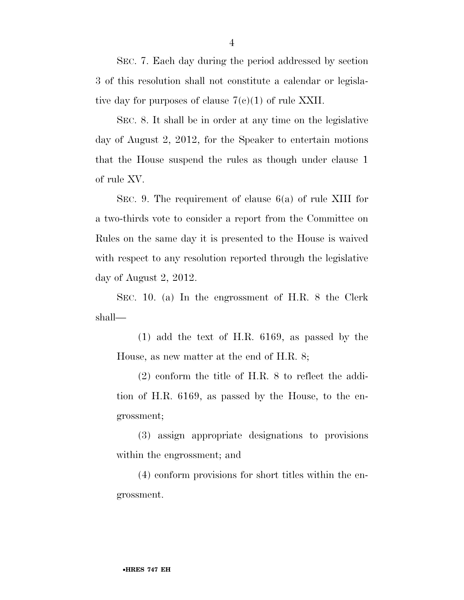SEC. 7. Each day during the period addressed by section 3 of this resolution shall not constitute a calendar or legislative day for purposes of clause  $7(e)(1)$  of rule XXII.

SEC. 8. It shall be in order at any time on the legislative day of August 2, 2012, for the Speaker to entertain motions that the House suspend the rules as though under clause 1 of rule XV.

SEC. 9. The requirement of clause 6(a) of rule XIII for a two-thirds vote to consider a report from the Committee on Rules on the same day it is presented to the House is waived with respect to any resolution reported through the legislative day of August 2, 2012.

SEC. 10. (a) In the engrossment of H.R. 8 the Clerk shall—

(1) add the text of H.R. 6169, as passed by the House, as new matter at the end of H.R. 8;

(2) conform the title of H.R. 8 to reflect the addition of H.R. 6169, as passed by the House, to the engrossment;

(3) assign appropriate designations to provisions within the engrossment; and

(4) conform provisions for short titles within the engrossment.